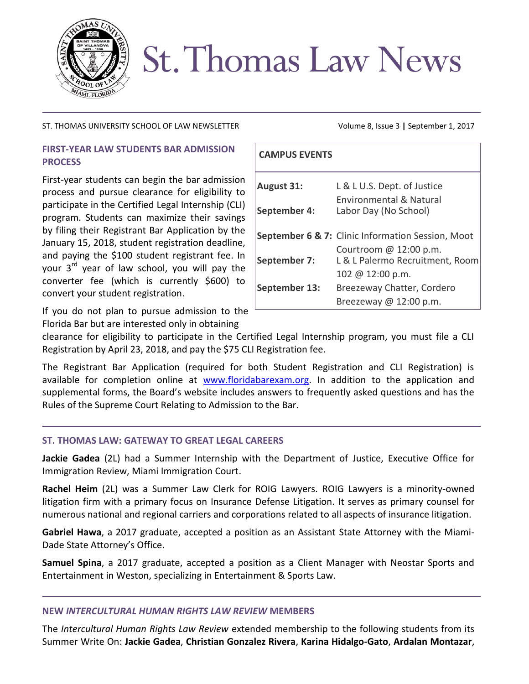

# **St. Thomas Law News**

### ST. THOMAS UNIVERSITY SCHOOL OF LAW NEWSLETTER Volume 8, Issue 3 | September 1, 2017

# **FIRST-YEAR LAW STUDENTS BAR ADMISSION PROCESS**

First-year students can begin the bar admission process and pursue clearance for eligibility to participate in the Certified Legal Internship (CLI) program. Students can maximize their savings by filing their Registrant Bar Application by the January 15, 2018, student registration deadline, and paying the \$100 student registrant fee. In your  $3<sup>rd</sup>$  year of law school, you will pay the converter fee (which is currently \$600) to convert your student registration.

If you do not plan to pursue admission to the Florida Bar but are interested only in obtaining

| <b>CAMPUS EVENTS</b> |                                                                                |
|----------------------|--------------------------------------------------------------------------------|
| <b>August 31:</b>    | L & L U.S. Dept. of Justice                                                    |
| September 4:         | <b>Environmental &amp; Natural</b><br>Labor Day (No School)                    |
|                      | September 6 & 7: Clinic Information Session, Moot                              |
| September 7:         | Courtroom $@12:00 p.m.$<br>L & L Palermo Recruitment, Room<br>102 @ 12:00 p.m. |
| September 13:        | Breezeway Chatter, Cordero                                                     |
|                      | Breezeway @ 12:00 p.m.                                                         |

clearance for eligibility to participate in the Certified Legal Internship program, you must file a CLI Registration by April 23, 2018, and pay the \$75 CLI Registration fee.

The Registrant Bar Application (required for both Student Registration and CLI Registration) is available for completion online at [www.floridabarexam.org.](http://www.floridabarexam.org/) In addition to the application and supplemental forms, the Board's website includes answers to frequently asked questions and has the Rules of the Supreme Court Relating to Admission to the Bar.

# **ST. THOMAS LAW: GATEWAY TO GREAT LEGAL CAREERS**

**Jackie Gadea** (2L) had a Summer Internship with the Department of Justice, Executive Office for Immigration Review, Miami Immigration Court.

**Rachel Heim** (2L) was a Summer Law Clerk for ROIG Lawyers. ROIG Lawyers is a minority-owned litigation firm with a primary focus on Insurance Defense Litigation. It serves as primary counsel for numerous national and regional carriers and corporations related to all aspects of insurance litigation.

**Gabriel Hawa**, a 2017 graduate, accepted a position as an Assistant State Attorney with the Miami-Dade State Attorney's Office.

**Samuel Spina**, a 2017 graduate, accepted a position as a Client Manager with Neostar Sports and Entertainment in Weston, specializing in Entertainment & Sports Law.

## **NEW** *INTERCULTURAL HUMAN RIGHTS LAW REVIEW* **MEMBERS**

The *Intercultural Human Rights Law Review* extended membership to the following students from its Summer Write On: **Jackie Gadea**, **Christian Gonzalez Rivera**, **Karina Hidalgo-Gato**, **Ardalan Montazar**,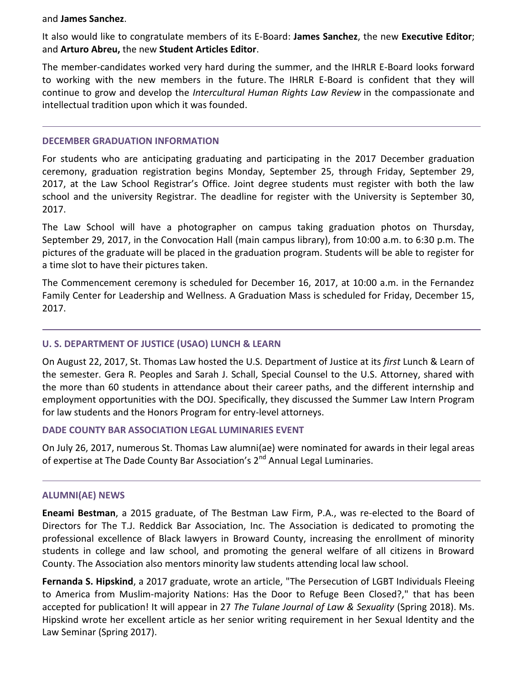#### and **James Sanchez**.

It also would like to congratulate members of its E-Board: **James Sanchez**, the new **Executive Editor**; and **Arturo Abreu,** the new **Student Articles Editor**.

The member-candidates worked very hard during the summer, and the IHRLR E-Board looks forward to working with the new members in the future. The IHRLR E-Board is confident that they will continue to grow and develop the *Intercultural Human Rights Law Review* in the compassionate and intellectual tradition upon which it was founded.

#### **DECEMBER GRADUATION INFORMATION**

For students who are anticipating graduating and participating in the 2017 December graduation ceremony, graduation registration begins Monday, September 25, through Friday, September 29, 2017, at the Law School Registrar's Office. Joint degree students must register with both the law school and the university Registrar. The deadline for register with the University is September 30, 2017.

The Law School will have a photographer on campus taking graduation photos on Thursday, September 29, 2017, in the Convocation Hall (main campus library), from 10:00 a.m. to 6:30 p.m. The pictures of the graduate will be placed in the graduation program. Students will be able to register for a time slot to have their pictures taken.

The Commencement ceremony is scheduled for December 16, 2017, at 10:00 a.m. in the Fernandez Family Center for Leadership and Wellness. A Graduation Mass is scheduled for Friday, December 15, 2017.

## **U. S. DEPARTMENT OF JUSTICE (USAO) LUNCH & LEARN**

On August 22, 2017, St. Thomas Law hosted the U.S. Department of Justice at its *first* Lunch & Learn of the semester. Gera R. Peoples and Sarah J. Schall, Special Counsel to the U.S. Attorney, shared with the more than 60 students in attendance about their career paths, and the different internship and employment opportunities with the DOJ. Specifically, they discussed the Summer Law Intern Program for law students and the Honors Program for entry-level attorneys.

#### **DADE COUNTY BAR ASSOCIATION LEGAL LUMINARIES EVENT**

On July 26, 2017, numerous St. Thomas Law alumni(ae) were nominated for awards in their legal areas of expertise at The Dade County Bar Association's 2<sup>nd</sup> Annual Legal Luminaries.

#### **ALUMNI(AE) NEWS**

**Eneami Bestman**, a 2015 graduate, of The Bestman Law Firm, P.A., was re-elected to the Board of Directors for The T.J. Reddick Bar Association, Inc. The Association is dedicated to promoting the professional excellence of Black lawyers in Broward County, increasing the enrollment of minority students in college and law school, and promoting the general welfare of all citizens in Broward County. The Association also mentors minority law students attending local law school.

**Fernanda S. Hipskind**, a 2017 graduate, wrote an article, "The Persecution of LGBT Individuals Fleeing to America from Muslim-majority Nations: Has the Door to Refuge Been Closed?," that has been accepted for publication! It will appear in 27 *The Tulane Journal of Law & Sexuality* (Spring 2018). Ms. Hipskind wrote her excellent article as her senior writing requirement in her Sexual Identity and the Law Seminar (Spring 2017).